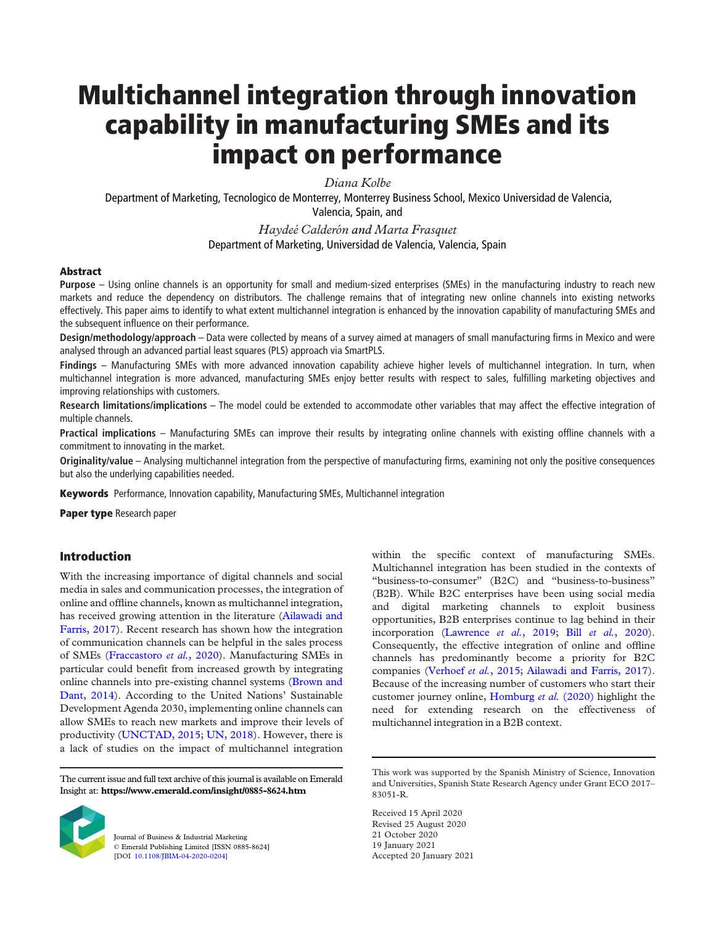# Multichannel integration through innovation capability in manufacturing SMEs and its impact on performance

Diana Kolbe

Department of Marketing, Tecnologico de Monterrey, Monterrey Business School, Mexico Universidad de Valencia, Valencia, Spain, and

> Haydeé Calderón and Marta Frasquet Department of Marketing, Universidad de Valencia, Valencia, Spain

## Abstract

Purpose – Using online channels is an opportunity for small and medium-sized enterprises (SMEs) in the manufacturing industry to reach new markets and reduce the dependency on distributors. The challenge remains that of integrating new online channels into existing networks effectively. This paper aims to identify to what extent multichannel integration is enhanced by the innovation capability of manufacturing SMEs and the subsequent influence on their performance.

Design/methodology/approach – Data were collected by means of a survey aimed at managers of small manufacturing firms in Mexico and were analysed through an advanced partial least squares (PLS) approach via SmartPLS.

Findings – Manufacturing SMEs with more advanced innovation capability achieve higher levels of multichannel integration. In turn, when multichannel integration is more advanced, manufacturing SMEs enjoy better results with respect to sales, fulfilling marketing objectives and improving relationships with customers.

Research limitations/implications – The model could be extended to accommodate other variables that may affect the effective integration of multiple channels.

Practical implications - Manufacturing SMEs can improve their results by integrating online channels with existing offline channels with a commitment to innovating in the market.

Originality/value – Analysing multichannel integration from the perspective of manufacturing firms, examining not only the positive consequences but also the underlying capabilities needed.

**Keywords** Performance, Innovation capability, Manufacturing SMEs, Multichannel integration

Paper type Research paper

## Introduction

With the increasing importance of digital channels and social media in sales and communication processes, the integration of online and offline channels, known as multichannel integration, has received growing attention in the literature ([Ailawadi and](#page-9-0) [Farris, 2017\)](#page-9-0). Recent research has shown how the integration of communication channels can be helpful in the sales process of SMEs ([Fraccastoro](#page-9-1) et al., 2020). Manufacturing SMEs in particular could benefit from increased growth by integrating online channels into pre-existing channel systems ([Brown and](#page-9-2) [Dant, 2014](#page-9-2)). According to the United Nations' Sustainable Development Agenda 2030, implementing online channels can allow SMEs to reach new markets and improve their levels of productivity ([UNCTAD, 2015;](#page-11-0) [UN, 2018\)](#page-11-1). However, there is a lack of studies on the impact of multichannel integration

The current issue and full text archive of this journal is available on Emerald Insight at: https://www.emerald.com/insight/0885-8624.htm



Journal of Business & Industrial Marketing © Emerald Publishing Limited [ISSN 0885-8624] [DOI [10.1108/JBIM-04-2020-0204\]](http://dx.doi.org/10.1108/JBIM-04-2020-0204)

within the specific context of manufacturing SMEs. Multichannel integration has been studied in the contexts of "business-to-consumer" (B2C) and "business-to-business" (B2B). While B2C enterprises have been using social media and digital marketing channels to exploit business opportunities, B2B enterprises continue to lag behind in their incorporation [\(Lawrence](#page-10-0) et al., 2019; Bill et al.[, 2020\)](#page-9-3). Consequently, the effective integration of online and offline channels has predominantly become a priority for B2C companies ([Verhoef](#page-11-2) et al., 2015; [Ailawadi and Farris, 2017\)](#page-9-0). Because of the increasing number of customers who start their customer journey online, [Homburg](#page-9-4) et al. (2020) highlight the need for extending research on the effectiveness of multichannel integration in a B2B context.

Received 15 April 2020 Revised 25 August 2020 21 October 2020 19 January 2021 Accepted 20 January 2021

This work was supported by the Spanish Ministry of Science, Innovation and Universities, Spanish State Research Agency under Grant ECO 2017– 83051-R.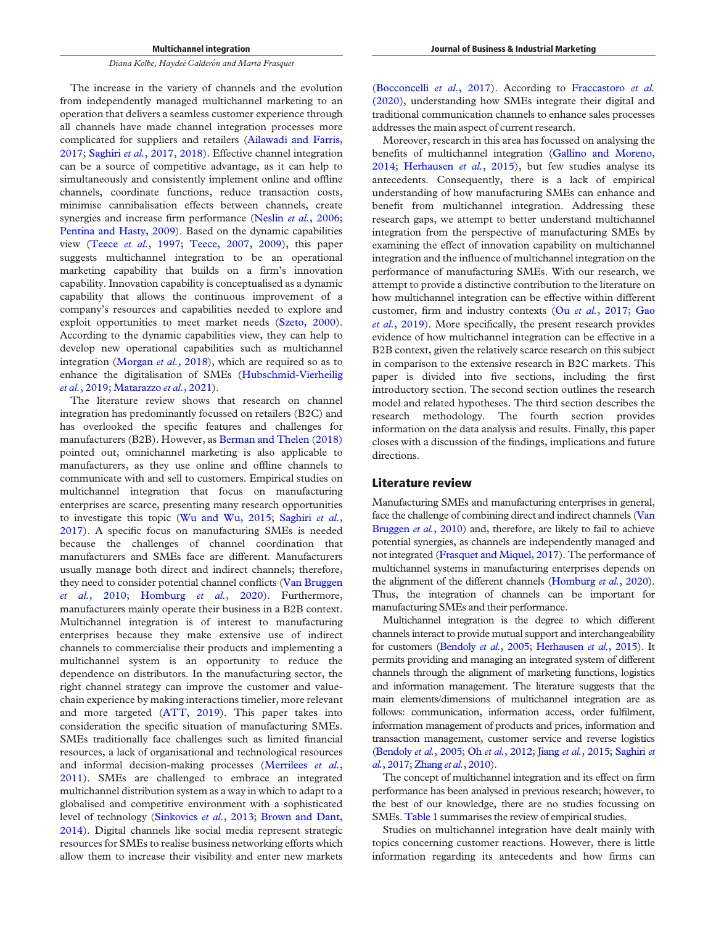The increase in the variety of channels and the evolution from independently managed multichannel marketing to an operation that delivers a seamless customer experience through all channels have made channel integration processes more complicated for suppliers and retailers ([Ailawadi and Farris,](#page-9-0) [2017;](#page-9-0) [Saghiri](#page-11-3) et al., 2017, [2018\)](#page-11-4). Effective channel integration can be a source of competitive advantage, as it can help to simultaneously and consistently implement online and offline channels, coordinate functions, reduce transaction costs, minimise cannibalisation effects between channels, create synergies and increase firm performance (Neslin et al.[, 2006](#page-10-1); [Pentina and Hasty, 2009](#page-10-2)). Based on the dynamic capabilities view (Teece et al.[, 1997;](#page-11-5) [Teece, 2007](#page-11-6), [2009\)](#page-11-7), this paper suggests multichannel integration to be an operational marketing capability that builds on a firm's innovation capability. Innovation capability is conceptualised as a dynamic capability that allows the continuous improvement of a company's resources and capabilities needed to explore and exploit opportunities to meet market needs ([Szeto, 2000\)](#page-11-8). According to the dynamic capabilities view, they can help to develop new operational capabilities such as multichannel integration [\(Morgan](#page-10-3) et al., 2018), which are required so as to enhance the digitalisation of SMEs [\(Hubschmid-Vierheilig](#page-9-5) et al.[, 2019](#page-9-5); [Matarazzo](#page-10-4) et al., 2021).

The literature review shows that research on channel integration has predominantly focussed on retailers (B2C) and has overlooked the specific features and challenges for manufacturers (B2B). However, as [Berman and Thelen \(2018\)](#page-9-6) pointed out, omnichannel marketing is also applicable to manufacturers, as they use online and offline channels to communicate with and sell to customers. Empirical studies on multichannel integration that focus on manufacturing enterprises are scarce, presenting many research opportunities to investigate this topic [\(Wu and Wu, 2015](#page-11-9); [Saghiri](#page-11-3) et al., [2017\)](#page-11-3). A specific focus on manufacturing SMEs is needed because the challenges of channel coordination that manufacturers and SMEs face are different. Manufacturers usually manage both direct and indirect channels; therefore, they need to consider potential channel conflicts [\(Van Bruggen](#page-11-10) et al.[, 2010;](#page-11-10) [Homburg](#page-9-4) et al., 2020). Furthermore, manufacturers mainly operate their business in a B2B context. Multichannel integration is of interest to manufacturing enterprises because they make extensive use of indirect channels to commercialise their products and implementing a multichannel system is an opportunity to reduce the dependence on distributors. In the manufacturing sector, the right channel strategy can improve the customer and valuechain experience by making interactions timelier, more relevant and more targeted ([ATT, 2019](#page-9-7)). This paper takes into consideration the specific situation of manufacturing SMEs. SMEs traditionally face challenges such as limited financial resources, a lack of organisational and technological resources and informal decision-making processes [\(Merrilees](#page-10-5) et al., [2011\)](#page-10-5). SMEs are challenged to embrace an integrated multichannel distribution system as a way in which to adapt to a globalised and competitive environment with a sophisticated level of technology ([Sinkovics](#page-11-11) et al., 2013; [Brown and Dant,](#page-9-2) [2014\)](#page-9-2). Digital channels like social media represent strategic resources for SMEs to realise business networking efforts which allow them to increase their visibility and enter new markets

[\(Bocconcelli](#page-9-8) et al., 2017). According to [Fraccastoro](#page-9-1) et al. [\(2020\),](#page-9-1) understanding how SMEs integrate their digital and traditional communication channels to enhance sales processes addresses the main aspect of current research.

Moreover, research in this area has focussed on analysing the benefits of multichannel integration ([Gallino and Moreno,](#page-9-9) [2014;](#page-9-9) [Herhausen](#page-9-10) et al., 2015), but few studies analyse its antecedents. Consequently, there is a lack of empirical understanding of how manufacturing SMEs can enhance and benefit from multichannel integration. Addressing these research gaps, we attempt to better understand multichannel integration from the perspective of manufacturing SMEs by examining the effect of innovation capability on multichannel integration and the influence of multichannel integration on the performance of manufacturing SMEs. With our research, we attempt to provide a distinctive contribution to the literature on how multichannel integration can be effective within different customer, firm and industry contexts (Ou et al.[, 2017;](#page-10-6) [Gao](#page-9-11) et al.[, 2019](#page-9-11)). More specifically, the present research provides evidence of how multichannel integration can be effective in a B2B context, given the relatively scarce research on this subject in comparison to the extensive research in B2C markets. This paper is divided into five sections, including the first introductory section. The second section outlines the research model and related hypotheses. The third section describes the research methodology. The fourth section provides information on the data analysis and results. Finally, this paper closes with a discussion of the findings, implications and future directions.

### Literature review

Manufacturing SMEs and manufacturing enterprises in general, face the challenge of combining direct and indirect channels [\(Van](#page-11-10) [Bruggen](#page-11-10) et al., 2010) and, therefore, are likely to fail to achieve potential synergies, as channels are independently managed and not integrated [\(Frasquet and Miquel, 2017](#page-9-12)). The performance of multichannel systems in manufacturing enterprises depends on the alignment of the different channels [\(Homburg](#page-9-4) et al., 2020). Thus, the integration of channels can be important for manufacturing SMEs and their performance.

Multichannel integration is the degree to which different channels interact to provide mutual support and interchangeability for customers ([Bendoly](#page-9-13) et al., 2005; [Herhausen](#page-9-10) et al., 2015). It permits providing and managing an integrated system of different channels through the alignment of marketing functions, logistics and information management. The literature suggests that the main elements/dimensions of multichannel integration are as follows: communication, information access, order fulfilment, information management of products and prices, information and transaction management, customer service and reverse logistics [\(Bendoly](#page-9-13) et al., 2005; Oh et al.[, 2012](#page-10-7); Jiang et al.[, 2015](#page-10-8); [Saghiri](#page-11-3) et al.[, 2017;](#page-11-3) [Zhang](#page-11-12) et al., 2010).

The concept of multichannel integration and its effect on firm performance has been analysed in previous research; however, to the best of our knowledge, there are no studies focussing on SMEs. [Table 1](#page-2-0) summarises the review of empirical studies.

Studies on multichannel integration have dealt mainly with topics concerning customer reactions. However, there is little information regarding its antecedents and how firms can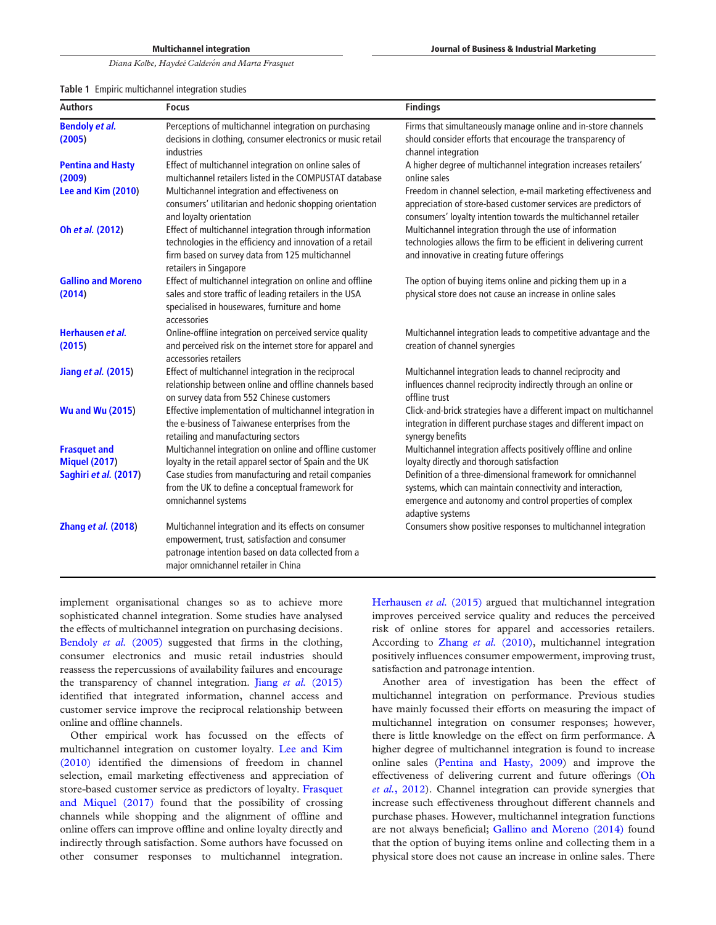<span id="page-2-0"></span>

|  |  | Table 1 Empiric multichannel integration studies |  |  |
|--|--|--------------------------------------------------|--|--|
|--|--|--------------------------------------------------|--|--|

| <b>Authors</b>                      | <b>Focus</b>                                                                                                                                                                                       | <b>Findings</b>                                                                                                                                                                                       |
|-------------------------------------|----------------------------------------------------------------------------------------------------------------------------------------------------------------------------------------------------|-------------------------------------------------------------------------------------------------------------------------------------------------------------------------------------------------------|
| <b>Bendoly et al.</b><br>(2005)     | Perceptions of multichannel integration on purchasing<br>decisions in clothing, consumer electronics or music retail<br>industries                                                                 | Firms that simultaneously manage online and in-store channels<br>should consider efforts that encourage the transparency of<br>channel integration                                                    |
| <b>Pentina and Hasty</b><br>(2009)  | Effect of multichannel integration on online sales of<br>multichannel retailers listed in the COMPUSTAT database                                                                                   | A higher degree of multichannel integration increases retailers'<br>online sales                                                                                                                      |
| Lee and Kim (2010)                  | Multichannel integration and effectiveness on<br>consumers' utilitarian and hedonic shopping orientation<br>and loyalty orientation                                                                | Freedom in channel selection, e-mail marketing effectiveness and<br>appreciation of store-based customer services are predictors of<br>consumers' loyalty intention towards the multichannel retailer |
| Oh et al. (2012)                    | Effect of multichannel integration through information<br>technologies in the efficiency and innovation of a retail<br>firm based on survey data from 125 multichannel<br>retailers in Singapore   | Multichannel integration through the use of information<br>technologies allows the firm to be efficient in delivering current<br>and innovative in creating future offerings                          |
| <b>Gallino and Moreno</b><br>(2014) | Effect of multichannel integration on online and offline<br>sales and store traffic of leading retailers in the USA<br>specialised in housewares, furniture and home<br>accessories                | The option of buying items online and picking them up in a<br>physical store does not cause an increase in online sales                                                                               |
| Herhausen et al.<br>(2015)          | Online-offline integration on perceived service quality<br>and perceived risk on the internet store for apparel and<br>accessories retailers                                                       | Multichannel integration leads to competitive advantage and the<br>creation of channel synergies                                                                                                      |
| Jiang et al. (2015)                 | Effect of multichannel integration in the reciprocal<br>relationship between online and offline channels based<br>on survey data from 552 Chinese customers                                        | Multichannel integration leads to channel reciprocity and<br>influences channel reciprocity indirectly through an online or<br>offline trust                                                          |
| <b>Wu and Wu (2015)</b>             | Effective implementation of multichannel integration in<br>the e-business of Taiwanese enterprises from the<br>retailing and manufacturing sectors                                                 | Click-and-brick strategies have a different impact on multichannel<br>integration in different purchase stages and different impact on<br>synergy benefits                                            |
| <b>Frasquet and</b>                 | Multichannel integration on online and offline customer                                                                                                                                            | Multichannel integration affects positively offline and online                                                                                                                                        |
| <b>Miquel (2017)</b>                | loyalty in the retail apparel sector of Spain and the UK                                                                                                                                           | loyalty directly and thorough satisfaction<br>Definition of a three-dimensional framework for omnichannel                                                                                             |
| Saghiri et al. (2017)               | Case studies from manufacturing and retail companies<br>from the UK to define a conceptual framework for<br>omnichannel systems                                                                    | systems, which can maintain connectivity and interaction,<br>emergence and autonomy and control properties of complex<br>adaptive systems                                                             |
| <b>Zhang et al. (2018)</b>          | Multichannel integration and its effects on consumer<br>empowerment, trust, satisfaction and consumer<br>patronage intention based on data collected from a<br>major omnichannel retailer in China | Consumers show positive responses to multichannel integration                                                                                                                                         |

implement organisational changes so as to achieve more sophisticated channel integration. Some studies have analysed the effects of multichannel integration on purchasing decisions. [Bendoly](#page-9-13) et al. (2005) suggested that firms in the clothing, consumer electronics and music retail industries should reassess the repercussions of availability failures and encourage the transparency of channel integration. Jiang et al. [\(2015\)](#page-10-8) identified that integrated information, channel access and customer service improve the reciprocal relationship between online and offline channels.

Other empirical work has focussed on the effects of multichannel integration on customer loyalty. [Lee and Kim](#page-10-9) [\(2010\)](#page-10-9) identified the dimensions of freedom in channel selection, email marketing effectiveness and appreciation of store-based customer service as predictors of loyalty. [Frasquet](#page-9-12) [and Miquel \(2017\)](#page-9-12) found that the possibility of crossing channels while shopping and the alignment of offline and online offers can improve offline and online loyalty directly and indirectly through satisfaction. Some authors have focussed on other consumer responses to multichannel integration.

[Herhausen](#page-9-10) et al. (2015) argued that multichannel integration improves perceived service quality and reduces the perceived risk of online stores for apparel and accessories retailers. According to Zhang et al. [\(2010\),](#page-11-12) multichannel integration positively influences consumer empowerment, improving trust, satisfaction and patronage intention.

Another area of investigation has been the effect of multichannel integration on performance. Previous studies have mainly focussed their efforts on measuring the impact of multichannel integration on consumer responses; however, there is little knowledge on the effect on firm performance. A higher degree of multichannel integration is found to increase online sales [\(Pentina and Hasty, 2009](#page-10-2)) and improve the effectiveness of delivering current and future offerings ([Oh](#page-10-7) et al.[, 2012](#page-10-7)). Channel integration can provide synergies that increase such effectiveness throughout different channels and purchase phases. However, multichannel integration functions are not always beneficial; [Gallino and Moreno \(2014\)](#page-9-9) found that the option of buying items online and collecting them in a physical store does not cause an increase in online sales. There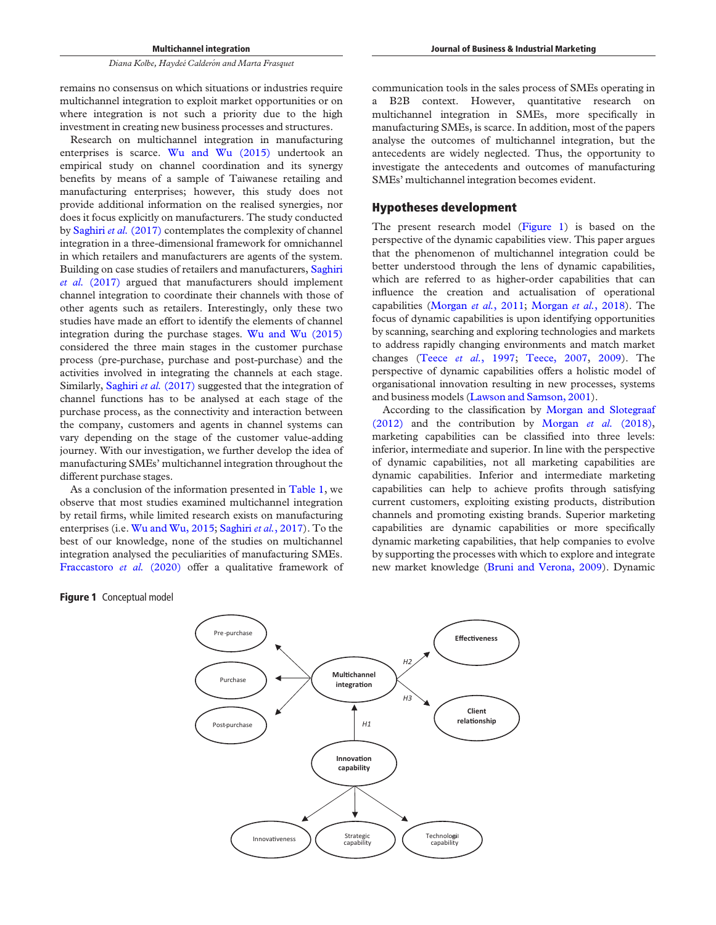Research on multichannel integration in manufacturing enterprises is scarce. [Wu and Wu \(2015\)](#page-11-9) undertook an empirical study on channel coordination and its synergy benefits by means of a sample of Taiwanese retailing and manufacturing enterprises; however, this study does not provide additional information on the realised synergies, nor does it focus explicitly on manufacturers. The study conducted by [Saghiri](#page-11-3) et al. (2017) contemplates the complexity of channel integration in a three-dimensional framework for omnichannel in which retailers and manufacturers are agents of the system. Building on case studies of retailers and manufacturers, [Saghiri](#page-11-3) et al. [\(2017\)](#page-11-3) argued that manufacturers should implement channel integration to coordinate their channels with those of other agents such as retailers. Interestingly, only these two studies have made an effort to identify the elements of channel integration during the purchase stages. [Wu and Wu \(2015\)](#page-11-9) considered the three main stages in the customer purchase process (pre-purchase, purchase and post-purchase) and the activities involved in integrating the channels at each stage. Similarly, [Saghiri](#page-11-3) et al. (2017) suggested that the integration of channel functions has to be analysed at each stage of the purchase process, as the connectivity and interaction between the company, customers and agents in channel systems can vary depending on the stage of the customer value-adding journey. With our investigation, we further develop the idea of manufacturing SMEs' multichannel integration throughout the different purchase stages.

As a conclusion of the information presented in [Table 1](#page-2-0), we observe that most studies examined multichannel integration by retail firms, while limited research exists on manufacturing enterprises (i.e. [Wu and Wu, 2015;](#page-11-9) [Saghiri](#page-11-3) et al., 2017). To the best of our knowledge, none of the studies on multichannel integration analysed the peculiarities of manufacturing SMEs. [Fraccastoro](#page-9-1) et al. (2020) offer a qualitative framework of Journal of Business & Industrial Marketing

a B2B context. However, quantitative research on multichannel integration in SMEs, more specifically in manufacturing SMEs, is scarce. In addition, most of the papers analyse the outcomes of multichannel integration, but the antecedents are widely neglected. Thus, the opportunity to investigate the antecedents and outcomes of manufacturing SMEs' multichannel integration becomes evident.

## Hypotheses development

The present research model ([Figure 1\)](#page-3-0) is based on the perspective of the dynamic capabilities view. This paper argues that the phenomenon of multichannel integration could be better understood through the lens of dynamic capabilities, which are referred to as higher-order capabilities that can influence the creation and actualisation of operational capabilities ([Morgan](#page-10-10) et al., 2011; [Morgan](#page-10-3) et al., 2018). The focus of dynamic capabilities is upon identifying opportunities by scanning, searching and exploring technologies and markets to address rapidly changing environments and match market changes (Teece et al.[, 1997;](#page-11-5) [Teece, 2007](#page-11-6), [2009](#page-11-7)). The perspective of dynamic capabilities offers a holistic model of organisational innovation resulting in new processes, systems and business models [\(Lawson and Samson, 2001](#page-10-11)).

According to the classification by [Morgan and Slotegraaf](#page-10-12)  $(2012)$  and the contribution by [Morgan](#page-10-3) *et al.*  $(2018)$ , marketing capabilities can be classified into three levels: inferior, intermediate and superior. In line with the perspective of dynamic capabilities, not all marketing capabilities are dynamic capabilities. Inferior and intermediate marketing capabilities can help to achieve profits through satisfying current customers, exploiting existing products, distribution channels and promoting existing brands. Superior marketing capabilities are dynamic capabilities or more specifically dynamic marketing capabilities, that help companies to evolve by supporting the processes with which to explore and integrate new market knowledge [\(Bruni and Verona, 2009\)](#page-9-14). Dynamic

<span id="page-3-0"></span>

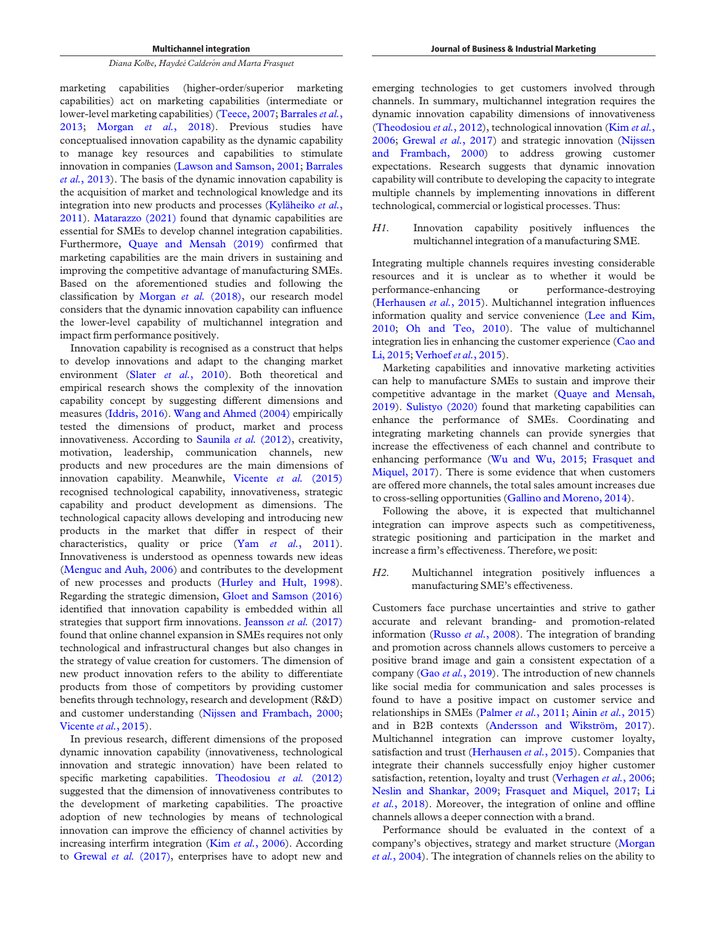marketing capabilities (higher-order/superior marketing capabilities) act on marketing capabilities (intermediate or lower-level marketing capabilities) ([Teece, 2007](#page-11-6); [Barrales](#page-9-15) et al., [2013;](#page-9-15) Morgan et al.[, 2018\)](#page-10-3). Previous studies have conceptualised innovation capability as the dynamic capability to manage key resources and capabilities to stimulate innovation in companies [\(Lawson and Samson, 2001;](#page-10-11) [Barrales](#page-9-15) et al.[, 2013\)](#page-9-15). The basis of the dynamic innovation capability is the acquisition of market and technological knowledge and its integration into new products and processes [\(Kyläheiko](#page-10-13) et al., [2011\)](#page-10-13). [Matarazzo \(2021\)](#page-10-4) found that dynamic capabilities are essential for SMEs to develop channel integration capabilities. Furthermore, [Quaye and Mensah \(2019\)](#page-11-14) confirmed that marketing capabilities are the main drivers in sustaining and improving the competitive advantage of manufacturing SMEs. Based on the aforementioned studies and following the classification by [Morgan](#page-10-3) et al. (2018), our research model considers that the dynamic innovation capability can influence the lower-level capability of multichannel integration and impact firm performance positively.

Innovation capability is recognised as a construct that helps to develop innovations and adapt to the changing market environment (Slater et al.[, 2010](#page-11-15)). Both theoretical and empirical research shows the complexity of the innovation capability concept by suggesting different dimensions and measures ([Iddris, 2016\)](#page-10-14). [Wang and Ahmed \(2004\)](#page-11-16) empirically tested the dimensions of product, market and process innovativeness. According to [Saunila](#page-11-17) et al. (2012), creativity, motivation, leadership, communication channels, new products and new procedures are the main dimensions of innovation capability. Meanwhile, [Vicente](#page-11-18) et al. (2015) recognised technological capability, innovativeness, strategic capability and product development as dimensions. The technological capacity allows developing and introducing new products in the market that differ in respect of their characteristics, quality or price (Yam et al.[, 2011\)](#page-11-19). Innovativeness is understood as openness towards new ideas [\(Menguc and Auh, 2006\)](#page-10-15) and contributes to the development of new processes and products ([Hurley and Hult, 1998\)](#page-10-16). Regarding the strategic dimension, [Gloet and Samson \(2016\)](#page-9-16) identified that innovation capability is embedded within all strategies that support firm innovations. [Jeansson](#page-10-17) et al. (2017) found that online channel expansion in SMEs requires not only technological and infrastructural changes but also changes in the strategy of value creation for customers. The dimension of new product innovation refers to the ability to differentiate products from those of competitors by providing customer benefits through technology, research and development (R&D) and customer understanding [\(Nijssen and Frambach, 2000](#page-10-18); [Vicente](#page-11-18) et al., 2015).

In previous research, different dimensions of the proposed dynamic innovation capability (innovativeness, technological innovation and strategic innovation) have been related to specific marketing capabilities. [Theodosiou](#page-11-20) et al. (2012) suggested that the dimension of innovativeness contributes to the development of marketing capabilities. The proactive adoption of new technologies by means of technological innovation can improve the efficiency of channel activities by increasing interfirm integration (Kim et al.[, 2006\)](#page-10-19). According to [Grewal](#page-9-17) et al. (2017), enterprises have to adopt new and

emerging technologies to get customers involved through channels. In summary, multichannel integration requires the dynamic innovation capability dimensions of innovativeness [\(Theodosiou](#page-11-20) [et al.](#page-10-19), 2012), technological innovation (Kim et al., [2006;](#page-10-19) [Grewal](#page-9-17) et al., 2017) and strategic innovation [\(Nijssen](#page-10-18) [and Frambach, 2000](#page-10-18)) to address growing customer expectations. Research suggests that dynamic innovation capability will contribute to developing the capacity to integrate multiple channels by implementing innovations in different technological, commercial or logistical processes. Thus:

H1. Innovation capability positively influences the multichannel integration of a manufacturing SME.

Integrating multiple channels requires investing considerable resources and it is unclear as to whether it would be performance-enhancing or performance-destroying [\(Herhausen](#page-9-10) et al., 2015). Multichannel integration influences information quality and service convenience [\(Lee and Kim,](#page-10-9) [2010;](#page-10-9) [Oh and Teo, 2010\)](#page-10-20). The value of multichannel integration lies in enhancing the customer experience [\(Cao and](#page-9-18) [Li, 2015](#page-9-18); [Verhoef](#page-11-2) et al., 2015).

Marketing capabilities and innovative marketing activities can help to manufacture SMEs to sustain and improve their competitive advantage in the market [\(Quaye and Mensah,](#page-11-14) [2019\)](#page-11-14). [Sulistyo \(2020\)](#page-11-21) found that marketing capabilities can enhance the performance of SMEs. Coordinating and integrating marketing channels can provide synergies that increase the effectiveness of each channel and contribute to enhancing performance [\(Wu and Wu, 2015](#page-11-9); [Frasquet and](#page-9-12) [Miquel, 2017\)](#page-9-12). There is some evidence that when customers are offered more channels, the total sales amount increases due to cross-selling opportunities [\(Gallino and Moreno, 2014](#page-9-9)).

Following the above, it is expected that multichannel integration can improve aspects such as competitiveness, strategic positioning and participation in the market and increase a firm's effectiveness. Therefore, we posit:

H2. Multichannel integration positively influences a manufacturing SME's effectiveness.

Customers face purchase uncertainties and strive to gather accurate and relevant branding- and promotion-related information (Russo et al.[, 2008](#page-11-22)). The integration of branding and promotion across channels allows customers to perceive a positive brand image and gain a consistent expectation of a company (Gao et al.[, 2019](#page-9-11)). The introduction of new channels like social media for communication and sales processes is found to have a positive impact on customer service and relationships in SMEs ([Palmer](#page-10-21) et al., 2011; Ainin et al.[, 2015\)](#page-9-19) and in B2B contexts [\(Andersson and Wikström, 2017\)](#page-9-20). Multichannel integration can improve customer loyalty, satisfaction and trust [\(Herhausen](#page-9-10) et al., 2015). Companies that integrate their channels successfully enjoy higher customer satisfaction, retention, loyalty and trust [\(Verhagen](#page-11-23) et al., 2006; [Neslin and Shankar, 2009;](#page-10-22) [Frasquet and Miquel, 2017;](#page-9-12) [Li](#page-10-23) et al.[, 2018\)](#page-10-23). Moreover, the integration of online and offline channels allows a deeper connection with a brand.

Performance should be evaluated in the context of a company's objectives, strategy and market structure ([Morgan](#page-10-24) et al.[, 2004](#page-10-24)). The integration of channels relies on the ability to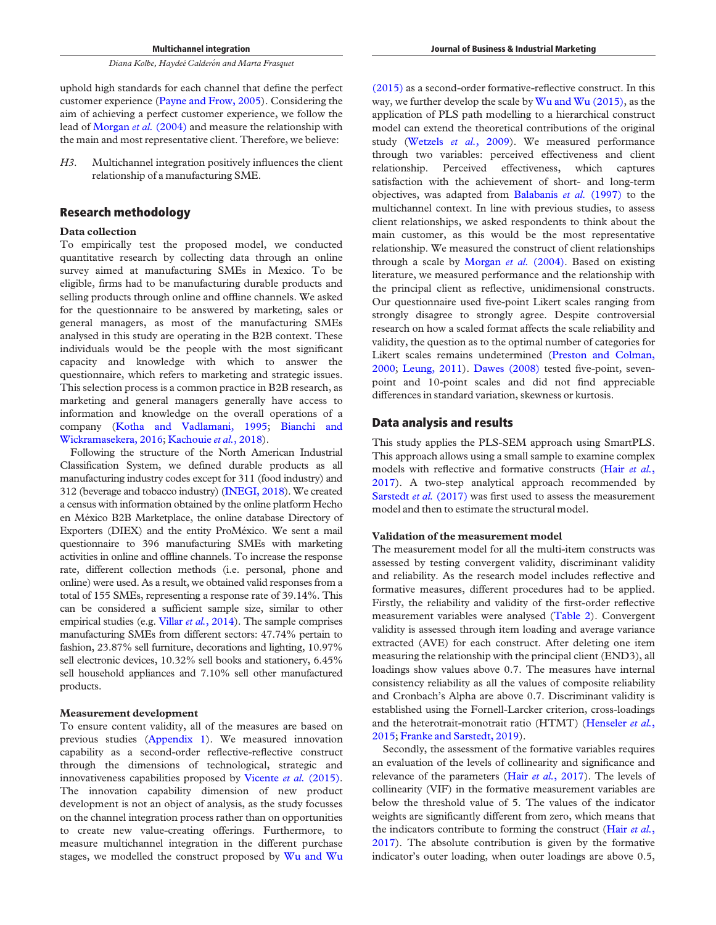Multichannel integration

Diana Kolbe, Haydeé Calderón and Marta Frasquet

uphold high standards for each channel that define the perfect customer experience [\(Payne and Frow, 2005](#page-10-25)). Considering the aim of achieving a perfect customer experience, we follow the lead of [Morgan](#page-10-24) *et al.* (2004) and measure the relationship with the main and most representative client. Therefore, we believe:

H3. Multichannel integration positively influences the client relationship of a manufacturing SME.

## Research methodology

#### Data collection

To empirically test the proposed model, we conducted quantitative research by collecting data through an online survey aimed at manufacturing SMEs in Mexico. To be eligible, firms had to be manufacturing durable products and selling products through online and offline channels. We asked for the questionnaire to be answered by marketing, sales or general managers, as most of the manufacturing SMEs analysed in this study are operating in the B2B context. These individuals would be the people with the most significant capacity and knowledge with which to answer the questionnaire, which refers to marketing and strategic issues. This selection process is a common practice in B2B research, as marketing and general managers generally have access to information and knowledge on the overall operations of a company ([Kotha and Vadlamani, 1995;](#page-10-26) [Bianchi and](#page-9-21) [Wickramasekera, 2016;](#page-9-21) [Kachouie](#page-10-27) et al., 2018).

Following the structure of the North American Industrial Classification System, we defined durable products as all manufacturing industry codes except for 311 (food industry) and 312 (beverage and tobacco industry) ([INEGI, 2018](#page-10-28)). We created a census with information obtained by the online platform Hecho en México B2B Marketplace, the online database Directory of Exporters (DIEX) and the entity ProMéxico. We sent a mail questionnaire to 396 manufacturing SMEs with marketing activities in online and offline channels. To increase the response rate, different collection methods (i.e. personal, phone and online) were used. As a result, we obtained valid responses from a total of 155 SMEs, representing a response rate of 39.14%. This can be considered a sufficient sample size, similar to other empirical studies (e.g. Villar et al.[, 2014](#page-11-24)). The sample comprises manufacturing SMEs from different sectors: 47.74% pertain to fashion, 23.87% sell furniture, decorations and lighting, 10.97% sell electronic devices, 10.32% sell books and stationery, 6.45% sell household appliances and 7.10% sell other manufactured products.

#### Measurement development

To ensure content validity, all of the measures are based on previous studies [\(Appendix 1](#page-12-0)). We measured innovation capability as a second-order reflective-reflective construct through the dimensions of technological, strategic and innovativeness capabilities proposed by [Vicente](#page-11-18) et al. (2015). The innovation capability dimension of new product development is not an object of analysis, as the study focusses on the channel integration process rather than on opportunities to create new value-creating offerings. Furthermore, to measure multichannel integration in the different purchase stages, we modelled the construct proposed by [Wu and Wu](#page-11-9)

[\(2015\)](#page-11-9) as a second-order formative-reflective construct. In this way, we further develop the scale by  $Wu$  and  $Wu$  (2015), as the application of PLS path modelling to a hierarchical construct model can extend the theoretical contributions of the original study ([Wetzels](#page-11-25) et al., 2009). We measured performance through two variables: perceived effectiveness and client relationship. Perceived effectiveness, which captures satisfaction with the achievement of short- and long-term objectives, was adapted from [Balabanis](#page-9-22) et al. (1997) to the multichannel context. In line with previous studies, to assess client relationships, we asked respondents to think about the main customer, as this would be the most representative relationship. We measured the construct of client relationships through a scale by [Morgan](#page-10-24) et al.  $(2004)$ . Based on existing literature, we measured performance and the relationship with the principal client as reflective, unidimensional constructs. Our questionnaire used five-point Likert scales ranging from strongly disagree to strongly agree. Despite controversial research on how a scaled format affects the scale reliability and validity, the question as to the optimal number of categories for Likert scales remains undetermined [\(Preston and Colman,](#page-11-26) [2000;](#page-11-26) [Leung, 2011\)](#page-10-29). [Dawes \(2008\)](#page-9-23) tested five-point, sevenpoint and 10-point scales and did not find appreciable differences in standard variation, skewness or kurtosis.

## Data analysis and results

This study applies the PLS-SEM approach using SmartPLS. This approach allows using a small sample to examine complex models with reflective and formative constructs (Hair [et al.](#page-9-24), [2017\)](#page-9-24). A two-step analytical approach recommended by [Sarstedt](#page-11-27) et al. (2017) was first used to assess the measurement model and then to estimate the structural model.

### Validation of the measurement model

The measurement model for all the multi-item constructs was assessed by testing convergent validity, discriminant validity and reliability. As the research model includes reflective and formative measures, different procedures had to be applied. Firstly, the reliability and validity of the first-order reflective measurement variables were analysed ([Table 2\)](#page-6-0). Convergent validity is assessed through item loading and average variance extracted (AVE) for each construct. After deleting one item measuring the relationship with the principal client (END3), all loadings show values above 0.7. The measures have internal consistency reliability as all the values of composite reliability and Cronbach's Alpha are above 0.7. Discriminant validity is established using the Fornell-Larcker criterion, cross-loadings and the heterotrait-monotrait ratio (HTMT) [\(Henseler](#page-9-25) et al., [2015;](#page-9-25) [Franke and Sarstedt, 2019\)](#page-9-26).

Secondly, the assessment of the formative variables requires an evaluation of the levels of collinearity and significance and relevance of the parameters (Hair et al.[, 2017\)](#page-9-24). The levels of collinearity (VIF) in the formative measurement variables are below the threshold value of 5. The values of the indicator weights are significantly different from zero, which means that the indicators contribute to forming the construct (Hair [et al.](#page-9-24), [2017\)](#page-9-24). The absolute contribution is given by the formative indicator's outer loading, when outer loadings are above 0.5,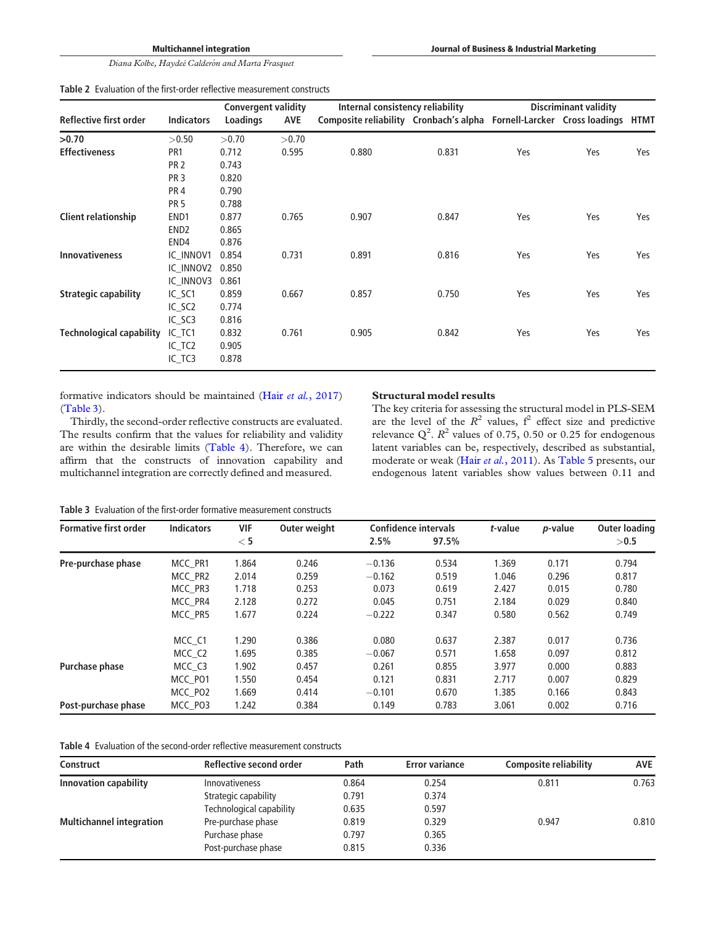Multichannel integration

Diana Kolbe, Haydeé Calderón and Marta Frasquet

<span id="page-6-0"></span>

| Table 2 Evaluation of the first-order reflective measurement constructs |  |
|-------------------------------------------------------------------------|--|
|-------------------------------------------------------------------------|--|

|                                 | <b>Convergent validity</b> |          | Internal consistency reliability |                                                                       | <b>Discriminant validity</b> |     |     |      |
|---------------------------------|----------------------------|----------|----------------------------------|-----------------------------------------------------------------------|------------------------------|-----|-----|------|
| Reflective first order          | <b>Indicators</b>          | Loadings | <b>AVE</b>                       | Composite reliability Cronbach's alpha Fornell-Larcker Cross loadings |                              |     |     | HTMT |
| >0.70                           | >0.50                      | >0.70    | >0.70                            |                                                                       |                              |     |     |      |
| <b>Effectiveness</b>            | PR <sub>1</sub>            | 0.712    | 0.595                            | 0.880                                                                 | 0.831                        | Yes | Yes | Yes  |
|                                 | <b>PR 2</b>                | 0.743    |                                  |                                                                       |                              |     |     |      |
|                                 | PR <sub>3</sub>            | 0.820    |                                  |                                                                       |                              |     |     |      |
|                                 | PR <sub>4</sub>            | 0.790    |                                  |                                                                       |                              |     |     |      |
|                                 | <b>PR 5</b>                | 0.788    |                                  |                                                                       |                              |     |     |      |
| <b>Client relationship</b>      | END1                       | 0.877    | 0.765                            | 0.907                                                                 | 0.847                        | Yes | Yes | Yes  |
|                                 | END <sub>2</sub>           | 0.865    |                                  |                                                                       |                              |     |     |      |
|                                 | END4                       | 0.876    |                                  |                                                                       |                              |     |     |      |
| <b>Innovativeness</b>           | IC INNOV1                  | 0.854    | 0.731                            | 0.891                                                                 | 0.816                        | Yes | Yes | Yes  |
|                                 | IC INNOV2                  | 0.850    |                                  |                                                                       |                              |     |     |      |
|                                 | IC INNOV3                  | 0.861    |                                  |                                                                       |                              |     |     |      |
| <b>Strategic capability</b>     | IC_SC1                     | 0.859    | 0.667                            | 0.857                                                                 | 0.750                        | Yes | Yes | Yes  |
|                                 | IC_SC2                     | 0.774    |                                  |                                                                       |                              |     |     |      |
|                                 | IC SC3                     | 0.816    |                                  |                                                                       |                              |     |     |      |
| <b>Technological capability</b> | IC_TC1                     | 0.832    | 0.761                            | 0.905                                                                 | 0.842                        | Yes | Yes | Yes  |
|                                 | $IC_TC2$                   | 0.905    |                                  |                                                                       |                              |     |     |      |
|                                 | IC_TC3                     | 0.878    |                                  |                                                                       |                              |     |     |      |

formative indicators should be maintained (Hair et al.[, 2017\)](#page-9-24) [\(Table 3\)](#page-6-1).

Thirdly, the second-order reflective constructs are evaluated. The results confirm that the values for reliability and validity are within the desirable limits ([Table 4](#page-6-2)). Therefore, we can affirm that the constructs of innovation capability and multichannel integration are correctly defined and measured.

#### Structural model results

The key criteria for assessing the structural model in PLS-SEM are the level of the  $R^2$  values,  $f^2$  effect size and predictive relevance  $Q^2$ .  $R^2$  values of 0.75, 0.50 or 0.25 for endogenous latent variables can be, respectively, described as substantial, moderate or weak (Hair et al.[, 2011\)](#page-9-27). As [Table 5](#page-7-0) presents, our endogenous latent variables show values between 0.11 and

<span id="page-6-1"></span>Table 3 Evaluation of the first-order formative measurement constructs

| <b>Formative first order</b> | <b>Indicators</b> | <b>VIF</b> | Outer weight | <b>Confidence intervals</b> |       | t-value | <i>p</i> -value | <b>Outer loading</b> |
|------------------------------|-------------------|------------|--------------|-----------------------------|-------|---------|-----------------|----------------------|
|                              |                   | $<$ 5      |              | 2.5%                        | 97.5% |         |                 | >0.5                 |
| Pre-purchase phase           | MCC PR1           | 1.864      | 0.246        | $-0.136$                    | 0.534 | 1.369   | 0.171           | 0.794                |
|                              | MCC PR2           | 2.014      | 0.259        | $-0.162$                    | 0.519 | 1.046   | 0.296           | 0.817                |
|                              | MCC PR3           | 1.718      | 0.253        | 0.073                       | 0.619 | 2.427   | 0.015           | 0.780                |
|                              | MCC PR4           | 2.128      | 0.272        | 0.045                       | 0.751 | 2.184   | 0.029           | 0.840                |
|                              | MCC PR5           | 1.677      | 0.224        | $-0.222$                    | 0.347 | 0.580   | 0.562           | 0.749                |
|                              | MCC C1            | 1.290      | 0.386        | 0.080                       | 0.637 | 2.387   | 0.017           | 0.736                |
|                              | MCC C2            | 1.695      | 0.385        | $-0.067$                    | 0.571 | 1.658   | 0.097           | 0.812                |
| <b>Purchase phase</b>        | MCC C3            | 1.902      | 0.457        | 0.261                       | 0.855 | 3.977   | 0.000           | 0.883                |
|                              | MCC PO1           | 1.550      | 0.454        | 0.121                       | 0.831 | 2.717   | 0.007           | 0.829                |
|                              | MCC PO2           | 1.669      | 0.414        | $-0.101$                    | 0.670 | 1.385   | 0.166           | 0.843                |
| Post-purchase phase          | MCC PO3           | 1.242      | 0.384        | 0.149                       | 0.783 | 3.061   | 0.002           | 0.716                |

<span id="page-6-2"></span>Table 4 Evaluation of the second-order reflective measurement constructs

| <b>Construct</b>                | Reflective second order  | Path  | <b>Error variance</b> | <b>Composite reliability</b> | AVE   |
|---------------------------------|--------------------------|-------|-----------------------|------------------------------|-------|
| Innovation capability           | <b>Innovativeness</b>    | 0.864 | 0.254                 | 0.811                        | 0.763 |
|                                 | Strategic capability     | 0.791 | 0.374                 |                              |       |
|                                 | Technological capability | 0.635 | 0.597                 |                              |       |
| <b>Multichannel integration</b> | Pre-purchase phase       | 0.819 | 0.329                 | 0.947                        | 0.810 |
|                                 | Purchase phase           | 0.797 | 0.365                 |                              |       |
|                                 | Post-purchase phase      | 0.815 | 0.336                 |                              |       |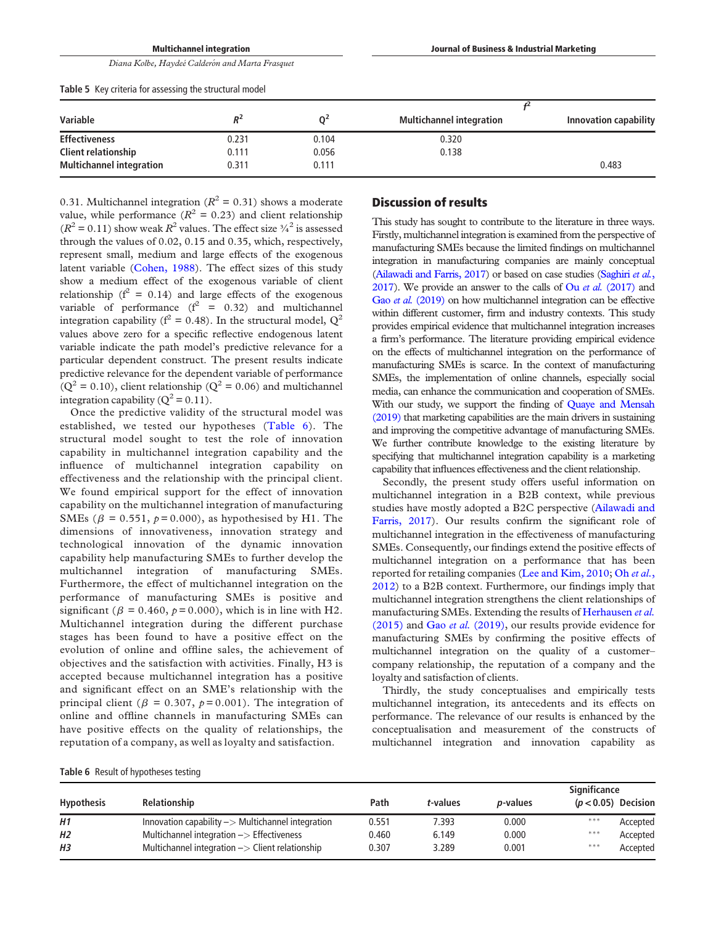<span id="page-7-0"></span>

| Diana Kolbe, Haydeé Calderón and Marta Frasquet         |       |                |                                 |                       |
|---------------------------------------------------------|-------|----------------|---------------------------------|-----------------------|
| Table 5 Key criteria for assessing the structural model |       |                |                                 |                       |
|                                                         |       |                |                                 |                       |
| Variable                                                | $R^2$ | 0 <sup>2</sup> | <b>Multichannel integration</b> | Innovation capability |
| <b>Effectiveness</b>                                    | 0.231 | 0.104          | 0.320                           |                       |
| <b>Client relationship</b>                              | 0.111 | 0.056          | 0.138                           |                       |
| <b>Multichannel integration</b>                         | 0.311 | 0.111          |                                 | 0.483                 |

0.31. Multichannel integration ( $R^2 = 0.31$ ) shows a moderate value, while performance ( $R^2 = 0.23$ ) and client relationship  $(R^2 = 0.11)$  show weak  $R^2$  values. The effect size  $\frac{3}{4}$  is assessed through the values of 0.02, 0.15 and 0.35, which, respectively, represent small, medium and large effects of the exogenous latent variable [\(Cohen, 1988](#page-9-28)). The effect sizes of this study show a medium effect of the exogenous variable of client relationship ( $f^2 = 0.14$ ) and large effects of the exogenous variable of performance  $(f^2 = 0.32)$  and multichannel integration capability ( $f^2 = 0.48$ ). In the structural model,  $Q^2$ values above zero for a specific reflective endogenous latent variable indicate the path model's predictive relevance for a particular dependent construct. The present results indicate predictive relevance for the dependent variable of performance  $(Q<sup>2</sup> = 0.10)$ , client relationship  $(Q<sup>2</sup> = 0.06)$  and multichannel integration capability ( $Q^2 = 0.11$ ).

Multichannel integration

Once the predictive validity of the structural model was established, we tested our hypotheses ([Table 6\)](#page-7-1). The structural model sought to test the role of innovation capability in multichannel integration capability and the influence of multichannel integration capability on effectiveness and the relationship with the principal client. We found empirical support for the effect of innovation capability on the multichannel integration of manufacturing SMEs ( $\beta$  = 0.551,  $p = 0.000$ ), as hypothesised by H1. The dimensions of innovativeness, innovation strategy and technological innovation of the dynamic innovation capability help manufacturing SMEs to further develop the multichannel integration of manufacturing SMEs. Furthermore, the effect of multichannel integration on the performance of manufacturing SMEs is positive and significant ( $\beta$  = 0.460,  $p$  = 0.000), which is in line with H2. Multichannel integration during the different purchase stages has been found to have a positive effect on the evolution of online and offline sales, the achievement of objectives and the satisfaction with activities. Finally, H3 is accepted because multichannel integration has a positive and significant effect on an SME's relationship with the principal client ( $\beta = 0.307$ ,  $p = 0.001$ ). The integration of online and offline channels in manufacturing SMEs can have positive effects on the quality of relationships, the reputation of a company, as well as loyalty and satisfaction.

# Discussion of results

This study has sought to contribute to the literature in three ways. Firstly, multichannel integration is examined from the perspective of manufacturing SMEs because the limited findings on multichannel integration in manufacturing companies are mainly conceptual [\(Ailawadi and Farris, 2017\)](#page-9-0) or based on case studies ([Saghiri](#page-11-3) et al., [2017](#page-11-3)). We provide an answer to the calls of  $\overline{O}u$  *et al.* [\(2017\)](#page-10-6) and Gao et al. [\(2019\)](#page-9-11) on how multichannel integration can be effective within different customer, firm and industry contexts. This study provides empirical evidence that multichannel integration increases a firm's performance. The literature providing empirical evidence on the effects of multichannel integration on the performance of manufacturing SMEs is scarce. In the context of manufacturing SMEs, the implementation of online channels, especially social media, can enhance the communication and cooperation of SMEs. With our study, we support the finding of **[Quaye and Mensah](#page-11-14)** [\(2019\)](#page-11-14) that marketing capabilities are the main drivers in sustaining and improving the competitive advantage of manufacturing SMEs. We further contribute knowledge to the existing literature by specifying that multichannel integration capability is a marketing capability that influences effectiveness and the client relationship.

Journal of Business & Industrial Marketing

Secondly, the present study offers useful information on multichannel integration in a B2B context, while previous studies have mostly adopted a B2C perspective [\(Ailawadi and](#page-9-0) [Farris, 2017\)](#page-9-0). Our results confirm the significant role of multichannel integration in the effectiveness of manufacturing SMEs. Consequently, our findings extend the positive effects of multichannel integration on a performance that has been reported for retailing companies ([Lee and Kim, 2010](#page-10-9); Oh [et al.](#page-10-7), [2012\)](#page-10-7) to a B2B context. Furthermore, our findings imply that multichannel integration strengthens the client relationships of manufacturing SMEs. Extending the results of [Herhausen](#page-9-10) et al. [\(2015\)](#page-9-10) and Gao et al. [\(2019\)](#page-9-11), our results provide evidence for manufacturing SMEs by confirming the positive effects of multichannel integration on the quality of a customer– company relationship, the reputation of a company and the loyalty and satisfaction of clients.

Thirdly, the study conceptualises and empirically tests multichannel integration, its antecedents and its effects on performance. The relevance of our results is enhanced by the conceptualisation and measurement of the constructs of multichannel integration and innovation capability as

<span id="page-7-1"></span>

|  |  |  |  |  |  | <b>Table 6</b> Result of hypotheses testing |
|--|--|--|--|--|--|---------------------------------------------|
|--|--|--|--|--|--|---------------------------------------------|

|                   |                                                            |       |          |                  | Significance          |          |
|-------------------|------------------------------------------------------------|-------|----------|------------------|-----------------------|----------|
| <b>Hypothesis</b> | Relationship                                               | Path  | t-values | <i>p</i> -values | $(p < 0.05)$ Decision |          |
| H1                | Innovation capability -> Multichannel integration          | 0.551 | 7.393    | 0.000            | ***                   | Accepted |
| H2                | Multichannel integration -> Effectiveness                  | 0.460 | 6.149    | 0.000            | ***                   | Accepted |
| Н3                | Multichannel integration $\rightarrow$ Client relationship | 0.307 | 3.289    | 0.001            | ***                   | Accepted |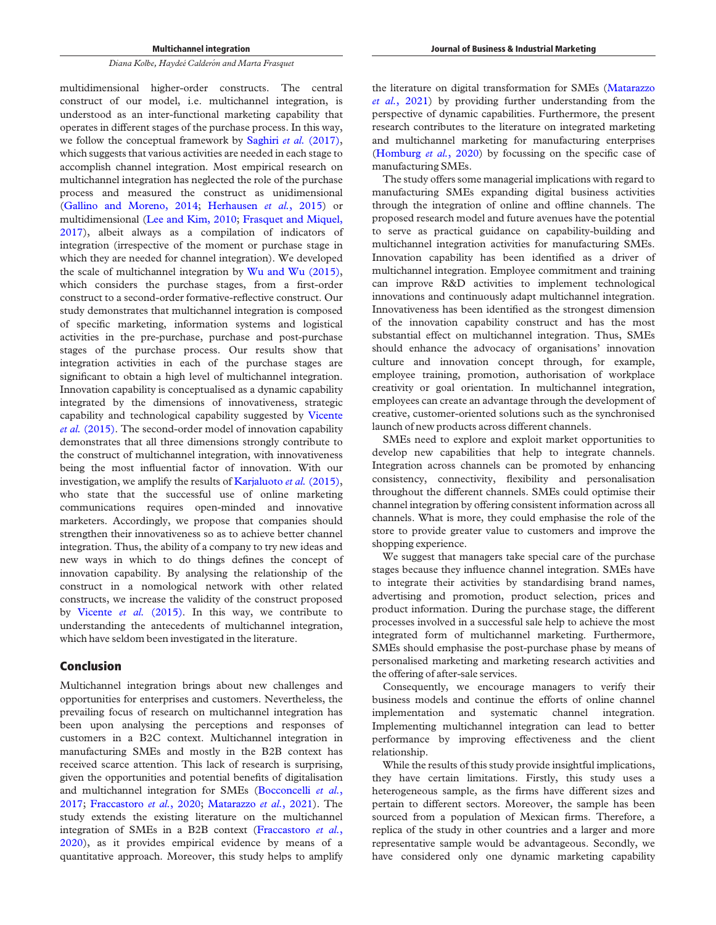multidimensional higher-order constructs. The central construct of our model, i.e. multichannel integration, is understood as an inter-functional marketing capability that operates in different stages of the purchase process. In this way, we follow the conceptual framework by [Saghiri](#page-11-3) et al. (2017), which suggests that various activities are needed in each stage to accomplish channel integration. Most empirical research on multichannel integration has neglected the role of the purchase process and measured the construct as unidimensional [\(Gallino and Moreno, 2014;](#page-9-9) [Herhausen](#page-9-10) et al., 2015) or multidimensional ([Lee and Kim, 2010;](#page-10-9) [Frasquet and Miquel,](#page-9-12) [2017\)](#page-9-12), albeit always as a compilation of indicators of integration (irrespective of the moment or purchase stage in which they are needed for channel integration). We developed the scale of multichannel integration by [Wu and Wu \(2015\)](#page-11-9), which considers the purchase stages, from a first-order construct to a second-order formative-reflective construct. Our study demonstrates that multichannel integration is composed of specific marketing, information systems and logistical activities in the pre-purchase, purchase and post-purchase stages of the purchase process. Our results show that integration activities in each of the purchase stages are significant to obtain a high level of multichannel integration. Innovation capability is conceptualised as a dynamic capability integrated by the dimensions of innovativeness, strategic capability and technological capability suggested by [Vicente](#page-11-18) et al. [\(2015\).](#page-11-18) The second-order model of innovation capability demonstrates that all three dimensions strongly contribute to the construct of multichannel integration, with innovativeness being the most influential factor of innovation. With our investigation, we amplify the results of [Karjaluoto](#page-10-30) et al. (2015), who state that the successful use of online marketing communications requires open-minded and innovative marketers. Accordingly, we propose that companies should strengthen their innovativeness so as to achieve better channel integration. Thus, the ability of a company to try new ideas and new ways in which to do things defines the concept of innovation capability. By analysing the relationship of the construct in a nomological network with other related constructs, we increase the validity of the construct proposed by [Vicente](#page-11-18) et al. (2015). In this way, we contribute to understanding the antecedents of multichannel integration, which have seldom been investigated in the literature.

# Conclusion

Multichannel integration brings about new challenges and opportunities for enterprises and customers. Nevertheless, the prevailing focus of research on multichannel integration has been upon analysing the perceptions and responses of customers in a B2C context. Multichannel integration in manufacturing SMEs and mostly in the B2B context has received scarce attention. This lack of research is surprising, given the opportunities and potential benefits of digitalisation and multichannel integration for SMEs ([Bocconcelli](#page-9-8) et al., [2017;](#page-9-8) [Fraccastoro](#page-9-1) et al., 2020; [Matarazzo](#page-10-4) et al., 2021). The study extends the existing literature on the multichannel integration of SMEs in a B2B context ([Fraccastoro](#page-9-1) et al., [2020\)](#page-9-1), as it provides empirical evidence by means of a quantitative approach. Moreover, this study helps to amplify

the literature on digital transformation for SMEs [\(Matarazzo](#page-10-4) et al.[, 2021\)](#page-10-4) by providing further understanding from the perspective of dynamic capabilities. Furthermore, the present research contributes to the literature on integrated marketing and multichannel marketing for manufacturing enterprises [\(Homburg](#page-9-4) *et al.*, 2020) by focussing on the specific case of manufacturing SMEs.

The study offers some managerial implications with regard to manufacturing SMEs expanding digital business activities through the integration of online and offline channels. The proposed research model and future avenues have the potential to serve as practical guidance on capability-building and multichannel integration activities for manufacturing SMEs. Innovation capability has been identified as a driver of multichannel integration. Employee commitment and training can improve R&D activities to implement technological innovations and continuously adapt multichannel integration. Innovativeness has been identified as the strongest dimension of the innovation capability construct and has the most substantial effect on multichannel integration. Thus, SMEs should enhance the advocacy of organisations' innovation culture and innovation concept through, for example, employee training, promotion, authorisation of workplace creativity or goal orientation. In multichannel integration, employees can create an advantage through the development of creative, customer-oriented solutions such as the synchronised launch of new products across different channels.

SMEs need to explore and exploit market opportunities to develop new capabilities that help to integrate channels. Integration across channels can be promoted by enhancing consistency, connectivity, flexibility and personalisation throughout the different channels. SMEs could optimise their channel integration by offering consistent information across all channels. What is more, they could emphasise the role of the store to provide greater value to customers and improve the shopping experience.

We suggest that managers take special care of the purchase stages because they influence channel integration. SMEs have to integrate their activities by standardising brand names, advertising and promotion, product selection, prices and product information. During the purchase stage, the different processes involved in a successful sale help to achieve the most integrated form of multichannel marketing. Furthermore, SMEs should emphasise the post-purchase phase by means of personalised marketing and marketing research activities and the offering of after-sale services.

Consequently, we encourage managers to verify their business models and continue the efforts of online channel implementation and systematic channel integration. Implementing multichannel integration can lead to better performance by improving effectiveness and the client relationship.

While the results of this study provide insightful implications, they have certain limitations. Firstly, this study uses a heterogeneous sample, as the firms have different sizes and pertain to different sectors. Moreover, the sample has been sourced from a population of Mexican firms. Therefore, a replica of the study in other countries and a larger and more representative sample would be advantageous. Secondly, we have considered only one dynamic marketing capability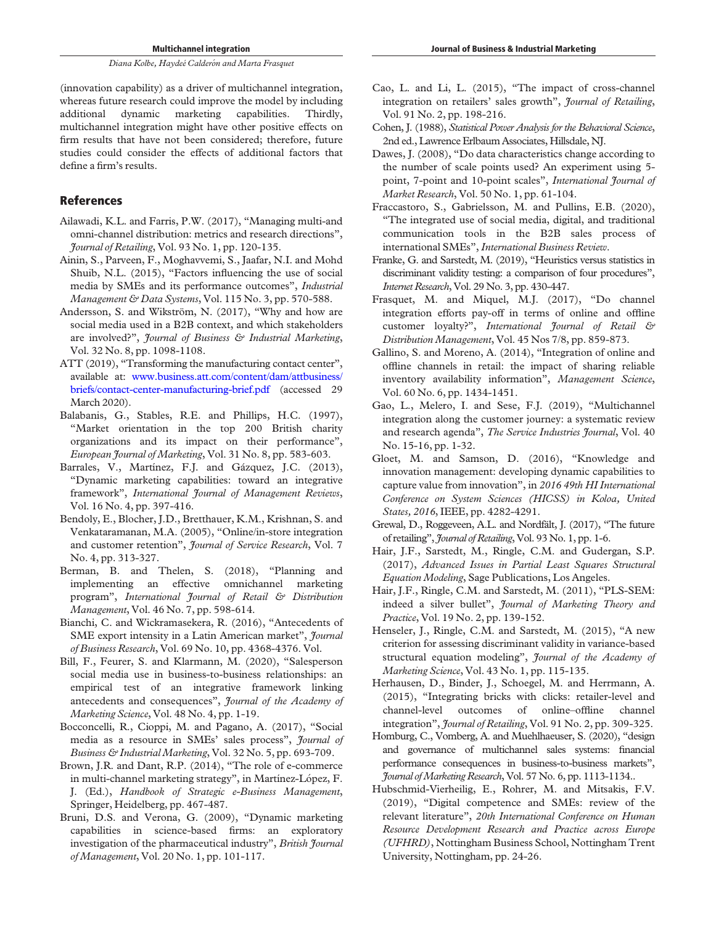whereas future research could improve the model by including additional dynamic marketing capabilities. Thirdly, multichannel integration might have other positive effects on firm results that have not been considered; therefore, future studies could consider the effects of additional factors that define a firm's results.

# References

- <span id="page-9-0"></span>Ailawadi, K.L. and Farris, P.W. (2017), "Managing multi-and omni-channel distribution: metrics and research directions", Journal of Retailing, Vol. 93 No. 1, pp. 120-135.
- <span id="page-9-19"></span>Ainin, S., Parveen, F., Moghavvemi, S., Jaafar, N.I. and Mohd Shuib, N.L. (2015), "Factors influencing the use of social media by SMEs and its performance outcomes", Industrial Management & Data Systems, Vol. 115 No. 3, pp. 570-588.
- <span id="page-9-20"></span>Andersson, S. and Wikström, N. (2017), "Why and how are social media used in a B2B context, and which stakeholders are involved?", Journal of Business & Industrial Marketing, Vol. 32 No. 8, pp. 1098-1108.
- <span id="page-9-7"></span>ATT (2019), "Transforming the manufacturing contact center", available at: [www.business.att.com/content/dam/attbusiness/](http://www.business.att.com/content/dam/attbusiness/briefs/contact-center-manufacturing-brief.pdf) [briefs/contact-center-manufacturing-brief.pdf](http://www.business.att.com/content/dam/attbusiness/briefs/contact-center-manufacturing-brief.pdf) (accessed 29 March 2020).
- <span id="page-9-22"></span>Balabanis, G., Stables, R.E. and Phillips, H.C. (1997), "Market orientation in the top 200 British charity organizations and its impact on their performance", European Journal of Marketing, Vol. 31 No. 8, pp. 583-603.
- <span id="page-9-15"></span>Barrales, V., Martínez, F.J. and Gázquez, J.C. (2013), "Dynamic marketing capabilities: toward an integrative framework", International Journal of Management Reviews, Vol. 16 No. 4, pp. 397-416.
- <span id="page-9-13"></span>Bendoly, E., Blocher, J.D., Bretthauer, K.M., Krishnan, S. and Venkataramanan, M.A. (2005), "Online/in-store integration and customer retention", Journal of Service Research, Vol. 7 No. 4, pp. 313-327.
- <span id="page-9-6"></span>Berman, B. and Thelen, S. (2018), "Planning and implementing an effective omnichannel marketing program", International Journal of Retail & Distribution Management, Vol. 46 No. 7, pp. 598-614.
- <span id="page-9-21"></span>Bianchi, C. and Wickramasekera, R. (2016), "Antecedents of SME export intensity in a Latin American market", Journal of Business Research, Vol. 69 No. 10, pp. 4368-4376. Vol.
- <span id="page-9-3"></span>Bill, F., Feurer, S. and Klarmann, M. (2020), "Salesperson social media use in business-to-business relationships: an empirical test of an integrative framework linking antecedents and consequences", Journal of the Academy of Marketing Science, Vol. 48 No. 4, pp. 1-19.
- <span id="page-9-8"></span>Bocconcelli, R., Cioppi, M. and Pagano, A. (2017), "Social media as a resource in SMEs' sales process", Journal of Business & Industrial Marketing, Vol. 32 No. 5, pp. 693-709.
- <span id="page-9-2"></span>Brown, J.R. and Dant, R.P. (2014), "The role of e-commerce in multi-channel marketing strategy", in Martínez-López, F. J. (Ed.), Handbook of Strategic e-Business Management, Springer, Heidelberg, pp. 467-487.
- <span id="page-9-14"></span>Bruni, D.S. and Verona, G. (2009), "Dynamic marketing capabilities in science-based firms: an exploratory investigation of the pharmaceutical industry", British Journal of Management, Vol. 20 No. 1, pp. 101-117.
- <span id="page-9-18"></span>Cao, L. and Li, L. (2015), "The impact of cross-channel integration on retailers' sales growth", *Journal of Retailing*, Vol. 91 No. 2, pp. 198-216.
- <span id="page-9-28"></span>Cohen, J. (1988), Statistical Power Analysis for the Behavioral Science, 2nd ed., Lawrence Erlbaum Associates, Hillsdale, NJ.
- <span id="page-9-23"></span>Dawes, J. (2008), "Do data characteristics change according to the number of scale points used? An experiment using 5 point, 7-point and 10-point scales", International Journal of Market Research, Vol. 50 No. 1, pp. 61-104.
- <span id="page-9-1"></span>Fraccastoro, S., Gabrielsson, M. and Pullins, E.B. (2020), "The integrated use of social media, digital, and traditional communication tools in the B2B sales process of international SMEs", International Business Review.
- <span id="page-9-26"></span>Franke, G. and Sarstedt, M. (2019), "Heuristics versus statistics in discriminant validity testing: a comparison of four procedures", Internet Research, Vol. 29 No. 3, pp. 430-447.
- <span id="page-9-12"></span>Frasquet, M. and Miquel, M.J. (2017), "Do channel integration efforts pay-off in terms of online and offline customer loyalty?", International Journal of Retail & Distribution Management, Vol. 45 Nos 7/8, pp. 859-873.
- <span id="page-9-9"></span>Gallino, S. and Moreno, A. (2014), "Integration of online and offline channels in retail: the impact of sharing reliable inventory availability information", Management Science, Vol. 60 No. 6, pp. 1434-1451.
- <span id="page-9-11"></span>Gao, L., Melero, I. and Sese, F.J. (2019), "Multichannel integration along the customer journey: a systematic review and research agenda", The Service Industries Journal, Vol. 40 No. 15-16, pp. 1-32.
- <span id="page-9-16"></span>Gloet, M. and Samson, D. (2016), "Knowledge and innovation management: developing dynamic capabilities to capture value from innovation", in 2016 49th HI International Conference on System Sciences (HICSS) in Koloa, United States, 2016, IEEE, pp. 4282-4291.
- <span id="page-9-17"></span>Grewal, D., Roggeveen, A.L. and Nordfält, J. (2017), "The future of retailing", Journal of Retailing, Vol. 93 No. 1, pp. 1-6.
- <span id="page-9-24"></span>Hair, J.F., Sarstedt, M., Ringle, C.M. and Gudergan, S.P. (2017), Advanced Issues in Partial Least Squares Structural Equation Modeling, Sage Publications, Los Angeles.
- <span id="page-9-27"></span>Hair, J.F., Ringle, C.M. and Sarstedt, M. (2011), "PLS-SEM: indeed a silver bullet", Journal of Marketing Theory and Practice, Vol. 19 No. 2, pp. 139-152.
- <span id="page-9-25"></span>Henseler, J., Ringle, C.M. and Sarstedt, M. (2015), "A new criterion for assessing discriminant validity in variance-based structural equation modeling", Journal of the Academy of Marketing Science, Vol. 43 No. 1, pp. 115-135.
- <span id="page-9-10"></span>Herhausen, D., Binder, J., Schoegel, M. and Herrmann, A. (2015), "Integrating bricks with clicks: retailer-level and channel-level outcomes of online–offline channel integration", *Journal of Retailing*, Vol. 91 No. 2, pp. 309-325.
- <span id="page-9-4"></span>Homburg, C., Vomberg, A. and Muehlhaeuser, S. (2020), "design and governance of multichannel sales systems: financial performance consequences in business-to-business markets", Journal ofMarketing Research, Vol. 57 No. 6, pp. 1113-1134..
- <span id="page-9-5"></span>Hubschmid-Vierheilig, E., Rohrer, M. and Mitsakis, F.V. (2019), "Digital competence and SMEs: review of the relevant literature", 20th International Conference on Human Resource Development Research and Practice across Europe (UFHRD), Nottingham Business School, Nottingham Trent University, Nottingham, pp. 24-26.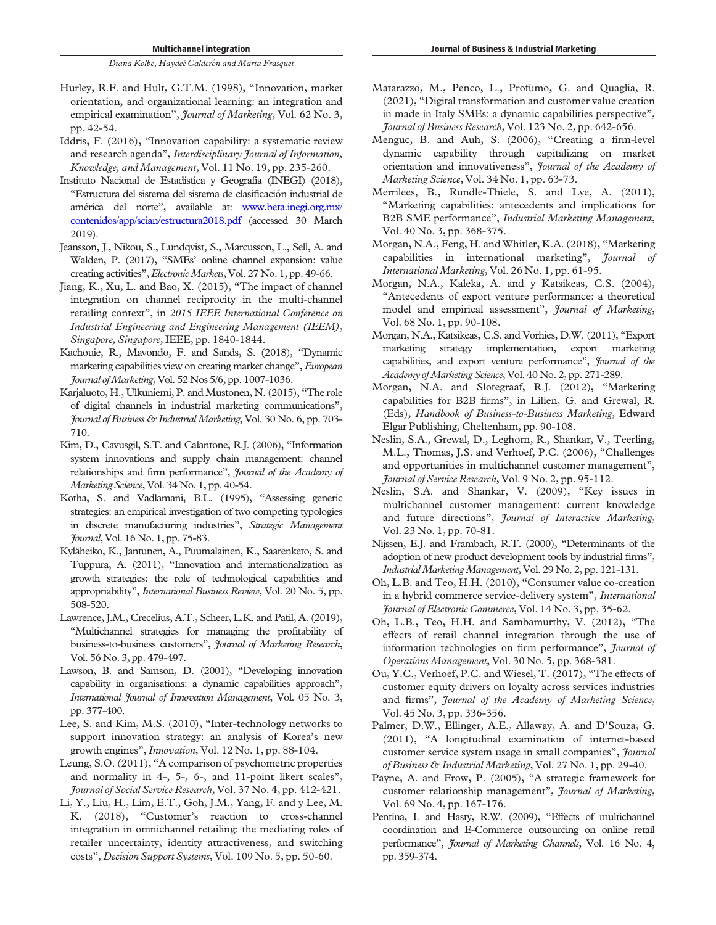- <span id="page-10-16"></span>Hurley, R.F. and Hult, G.T.M. (1998), "Innovation, market orientation, and organizational learning: an integration and empirical examination", *Journal of Marketing*, Vol. 62 No. 3, pp. 42-54.
- <span id="page-10-14"></span>Iddris, F. (2016), "Innovation capability: a systematic review and research agenda", Interdisciplinary Journal of Information, Knowledge, and Management, Vol. 11 No. 19, pp. 235-260.
- <span id="page-10-28"></span>Instituto Nacional de Estadística y Geografía (INEGI) (2018), "Estructura del sistema del sistema de clasificacion industrial de américa del norte", available at: [www.beta.inegi.org.mx/](http://www.beta.inegi.org.mx/contenidos/app/scian/estructura2018.pdf ) [contenidos/app/scian/estructura2018.pdf](http://www.beta.inegi.org.mx/contenidos/app/scian/estructura2018.pdf ) (accessed 30 March 2019).
- <span id="page-10-17"></span>Jeansson, J., Nikou, S., Lundqvist, S., Marcusson, L., Sell, A. and Walden, P. (2017), "SMEs' online channel expansion: value creating activities", Electronic Markets, Vol. 27 No. 1, pp. 49-66.
- <span id="page-10-8"></span>Jiang, K., Xu, L. and Bao, X. (2015), "The impact of channel integration on channel reciprocity in the multi-channel retailing context", in 2015 IEEE International Conference on Industrial Engineering and Engineering Management (IEEM), Singapore, Singapore, IEEE, pp. 1840-1844.
- <span id="page-10-27"></span>Kachouie, R., Mavondo, F. and Sands, S. (2018), "Dynamic marketing capabilities view on creating market change", European Journal ofMarketing, Vol. 52 Nos 5/6, pp. 1007-1036.
- <span id="page-10-30"></span>Karjaluoto, H., Ulkuniemi, P. and Mustonen, N. (2015), "The role of digital channels in industrial marketing communications", Journal of Business & Industrial Marketing, Vol. 30 No. 6, pp. 703- 710.
- <span id="page-10-19"></span>Kim, D., Cavusgil, S.T. and Calantone, R.J. (2006), "Information system innovations and supply chain management: channel relationships and firm performance", Journal of the Academy of Marketing Science, Vol. 34 No. 1, pp. 40-54.
- <span id="page-10-26"></span>Kotha, S. and Vadlamani, B.L. (1995), "Assessing generic strategies: an empirical investigation of two competing typologies in discrete manufacturing industries", Strategic Management Journal, Vol. 16 No. 1, pp. 75-83.
- <span id="page-10-13"></span>Kyläheiko, K., Jantunen, A., Puumalainen, K., Saarenketo, S. and Tuppura, A. (2011), "Innovation and internationalization as growth strategies: the role of technological capabilities and appropriability", International Business Review, Vol. 20 No. 5, pp. 508-520.
- <span id="page-10-0"></span>Lawrence, J.M., Crecelius, A.T., Scheer, L.K. and Patil, A. (2019), "Multichannel strategies for managing the profitability of business-to-business customers", Journal of Marketing Research, Vol. 56 No. 3, pp. 479-497.
- <span id="page-10-11"></span>Lawson, B. and Samson, D. (2001), "Developing innovation capability in organisations: a dynamic capabilities approach", International Journal of Innovation Management, Vol. 05 No. 3, pp. 377-400.
- <span id="page-10-9"></span>Lee, S. and Kim, M.S. (2010), "Inter-technology networks to support innovation strategy: an analysis of Korea's new growth engines", Innovation, Vol. 12 No. 1, pp. 88-104.
- <span id="page-10-29"></span>Leung, S.O. (2011), "A comparison of psychometric properties and normality in 4-, 5-, 6-, and 11-point likert scales", Journal of Social Service Research, Vol. 37 No. 4, pp. 412-421.
- <span id="page-10-23"></span>Li, Y., Liu, H., Lim, E.T., Goh, J.M., Yang, F. and y Lee, M. K. (2018), "Customer's reaction to cross-channel integration in omnichannel retailing: the mediating roles of retailer uncertainty, identity attractiveness, and switching costs", Decision Support Systems, Vol. 109 No. 5, pp. 50-60.
- <span id="page-10-4"></span>Matarazzo, M., Penco, L., Profumo, G. and Quaglia, R. (2021), "Digital transformation and customer value creation in made in Italy SMEs: a dynamic capabilities perspective", Journal of Business Research, Vol. 123 No. 2, pp. 642-656.
- <span id="page-10-15"></span>Menguc, B. and Auh, S. (2006), "Creating a firm-level dynamic capability through capitalizing on market orientation and innovativeness", Journal of the Academy of Marketing Science, Vol. 34 No. 1, pp. 63-73.
- <span id="page-10-5"></span>Merrilees, B., Rundle-Thiele, S. and Lye, A. (2011), "Marketing capabilities: antecedents and implications for B2B SME performance", Industrial Marketing Management, Vol. 40 No. 3, pp. 368-375.
- <span id="page-10-3"></span>Morgan, N.A., Feng, H. and Whitler, K.A. (2018), "Marketing capabilities in international marketing", Journal of International Marketing, Vol. 26 No. 1, pp. 61-95.
- <span id="page-10-24"></span>Morgan, N.A., Kaleka, A. and y Katsikeas, C.S. (2004), "Antecedents of export venture performance: a theoretical model and empirical assessment", Journal of Marketing, Vol. 68 No. 1, pp. 90-108.
- <span id="page-10-10"></span>Morgan, N.A., Katsikeas, C.S. and Vorhies, D.W. (2011), "Export marketing strategy implementation, export marketing capabilities, and export venture performance", Journal of the Academy of Marketing Science, Vol. 40 No. 2, pp. 271-289.
- <span id="page-10-12"></span>Morgan, N.A. and Slotegraaf, R.J. (2012), "Marketing capabilities for B2B firms", in Lilien, G. and Grewal, R. (Eds), Handbook of Business-to-Business Marketing, Edward Elgar Publishing, Cheltenham, pp. 90-108.
- <span id="page-10-1"></span>Neslin, S.A., Grewal, D., Leghorn, R., Shankar, V., Teerling, M.L., Thomas, J.S. and Verhoef, P.C. (2006), "Challenges and opportunities in multichannel customer management", Journal of Service Research, Vol. 9 No. 2, pp. 95-112.
- <span id="page-10-22"></span>Neslin, S.A. and Shankar, V. (2009), "Key issues in multichannel customer management: current knowledge and future directions", Journal of Interactive Marketing, Vol. 23 No. 1, pp. 70-81.
- <span id="page-10-18"></span>Nijssen, E.J. and Frambach, R.T. (2000), "Determinants of the adoption of new product development tools by industrial firms", IndustrialMarketingManagement, Vol. 29 No. 2, pp. 121-131.
- <span id="page-10-20"></span>Oh, L.B. and Teo, H.H. (2010), "Consumer value co-creation in a hybrid commerce service-delivery system", International Journal of Electronic Commerce, Vol. 14 No. 3, pp. 35-62.
- <span id="page-10-7"></span>Oh, L.B., Teo, H.H. and Sambamurthy, V. (2012), "The effects of retail channel integration through the use of information technologies on firm performance", *Journal of* Operations Management, Vol. 30 No. 5, pp. 368-381.
- <span id="page-10-6"></span>Ou, Y.C., Verhoef, P.C. and Wiesel, T. (2017), "The effects of customer equity drivers on loyalty across services industries and firms", Journal of the Academy of Marketing Science, Vol. 45 No. 3, pp. 336-356.
- <span id="page-10-21"></span>Palmer, D.W., Ellinger, A.E., Allaway, A. and D'Souza, G. (2011), "A longitudinal examination of internet-based customer service system usage in small companies", *Journal* of Business & Industrial Marketing, Vol. 27 No. 1, pp. 29-40.
- <span id="page-10-25"></span>Payne, A. and Frow, P. (2005), "A strategic framework for customer relationship management", Journal of Marketing, Vol. 69 No. 4, pp. 167-176.
- <span id="page-10-2"></span>Pentina, I. and Hasty, R.W. (2009), "Effects of multichannel coordination and E-Commerce outsourcing on online retail performance", *Journal of Marketing Channels*, Vol. 16 No. 4, pp. 359-374.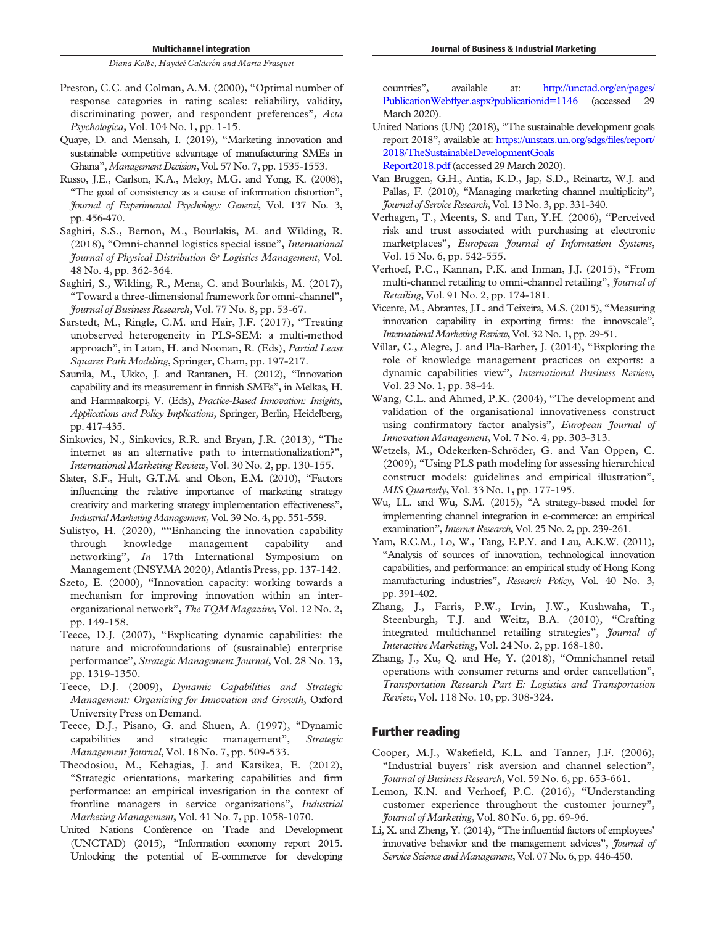- <span id="page-11-26"></span>Preston, C.C. and Colman, A.M. (2000), "Optimal number of response categories in rating scales: reliability, validity, discriminating power, and respondent preferences", Acta Psychologica, Vol. 104 No. 1, pp. 1-15.
- <span id="page-11-14"></span>Quaye, D. and Mensah, I. (2019), "Marketing innovation and sustainable competitive advantage of manufacturing SMEs in Ghana", Management Decision, Vol. 57 No. 7, pp. 1535-1553.
- <span id="page-11-22"></span>Russo, J.E., Carlson, K.A., Meloy, M.G. and Yong, K. (2008), "The goal of consistency as a cause of information distortion", Journal of Experimental Psychology: General, Vol. 137 No. 3, pp. 456-470.
- <span id="page-11-4"></span>Saghiri, S.S., Bernon, M., Bourlakis, M. and Wilding, R. (2018), "Omni-channel logistics special issue", International Journal of Physical Distribution & Logistics Management, Vol. 48 No. 4, pp. 362-364.
- <span id="page-11-3"></span>Saghiri, S., Wilding, R., Mena, C. and Bourlakis, M. (2017), "Toward a three-dimensional framework for omni-channel", Journal of Business Research, Vol. 77 No. 8, pp. 53-67.
- <span id="page-11-27"></span>Sarstedt, M., Ringle, C.M. and Hair, J.F. (2017), "Treating unobserved heterogeneity in PLS-SEM: a multi-method approach", in Latan, H. and Noonan, R. (Eds), Partial Least Squares Path Modeling, Springer, Cham, pp. 197-217.
- <span id="page-11-17"></span>Saunila, M., Ukko, J. and Rantanen, H. (2012), "Innovation capability and its measurement in finnish SMEs", in Melkas, H. and Harmaakorpi, V. (Eds), Practice-Based Innovation: Insights, Applications and Policy Implications, Springer, Berlin, Heidelberg, pp. 417-435.
- <span id="page-11-11"></span>Sinkovics, N., Sinkovics, R.R. and Bryan, J.R. (2013), "The internet as an alternative path to internationalization?", International Marketing Review, Vol. 30 No. 2, pp. 130-155.
- <span id="page-11-15"></span>Slater, S.F., Hult, G.T.M. and Olson, E.M. (2010), "Factors influencing the relative importance of marketing strategy creativity and marketing strategy implementation effectiveness", IndustrialMarketingManagement, Vol. 39 No. 4, pp. 551-559.
- <span id="page-11-21"></span>Sulistyo, H. (2020), ""Enhancing the innovation capability through knowledge management capability and networking", *In* 17th International Symposium on Management (INSYMA 2020), Atlantis Press, pp. 137-142.
- <span id="page-11-8"></span>Szeto, E. (2000), "Innovation capacity: working towards a mechanism for improving innovation within an interorganizational network", The TQM Magazine, Vol. 12 No. 2, pp. 149-158.
- <span id="page-11-6"></span>Teece, D.J. (2007), "Explicating dynamic capabilities: the nature and microfoundations of (sustainable) enterprise performance", Strategic Management Journal, Vol. 28 No. 13, pp. 1319-1350.
- <span id="page-11-7"></span>Teece, D.J. (2009), Dynamic Capabilities and Strategic Management: Organizing for Innovation and Growth, Oxford University Press on Demand.
- <span id="page-11-5"></span>Teece, D.J., Pisano, G. and Shuen, A. (1997), "Dynamic capabilities and strategic management", Strategic Management Journal, Vol. 18 No. 7, pp. 509-533.
- <span id="page-11-20"></span>Theodosiou, M., Kehagias, J. and Katsikea, E. (2012), "Strategic orientations, marketing capabilities and firm performance: an empirical investigation in the context of frontline managers in service organizations", *Industrial* Marketing Management, Vol. 41 No. 7, pp. 1058-1070.
- <span id="page-11-0"></span>United Nations Conference on Trade and Development (UNCTAD) (2015), "Information economy report 2015. Unlocking the potential of E-commerce for developing

countries", available at: [http://unctad.org/en/pages/](http://unctad.org/en/pages/PublicationWebflyer.aspx?publicationid=1146) PublicationWebfl[yer.aspx?publicationid=1146](http://unctad.org/en/pages/PublicationWebflyer.aspx?publicationid=1146) (accessed March 2020).

- <span id="page-11-1"></span>United Nations (UN) (2018), "The sustainable development goals report 2018", available at: [https://unstats.un.org/sdgs/](https://unstats.un.org/sdgs/files/report/2018/TheSustainableDevelopmentGoalsReport2018.pdf)files/report/ [2018/TheSustainableDevelopmentGoals](https://unstats.un.org/sdgs/files/report/2018/TheSustainableDevelopmentGoalsReport2018.pdf) [Report2018.pdf](https://unstats.un.org/sdgs/files/report/2018/TheSustainableDevelopmentGoalsReport2018.pdf) (accessed 29 March 2020).
- <span id="page-11-10"></span>Van Bruggen, G.H., Antia, K.D., Jap, S.D., Reinartz, W.J. and Pallas, F. (2010), "Managing marketing channel multiplicity", Journal of Service Research, Vol. 13 No. 3, pp. 331-340.
- <span id="page-11-23"></span>Verhagen, T., Meents, S. and Tan, Y.H. (2006), "Perceived risk and trust associated with purchasing at electronic marketplaces", European Journal of Information Systems, Vol. 15 No. 6, pp. 542-555.
- <span id="page-11-2"></span>Verhoef, P.C., Kannan, P.K. and Inman, J.J. (2015), "From multi-channel retailing to omni-channel retailing", *Journal of* Retailing, Vol. 91 No. 2, pp. 174-181.
- <span id="page-11-18"></span>Vicente, M., Abrantes, J.L. and Teixeira, M.S. (2015), "Measuring innovation capability in exporting firms: the innovscale", InternationalMarketing Review, Vol. 32 No. 1, pp. 29-51.
- <span id="page-11-24"></span>Villar, C., Alegre, J. and Pla-Barber, J. (2014), "Exploring the role of knowledge management practices on exports: a dynamic capabilities view", International Business Review, Vol. 23 No. 1, pp. 38-44.
- <span id="page-11-16"></span>Wang, C.L. and Ahmed, P.K. (2004), "The development and validation of the organisational innovativeness construct using confirmatory factor analysis", European Journal of Innovation Management, Vol. 7 No. 4, pp. 303-313.
- <span id="page-11-25"></span>Wetzels, M., Odekerken-Schröder, G. and Van Oppen, C. (2009), "Using PLS path modeling for assessing hierarchical construct models: guidelines and empirical illustration", MIS Quarterly, Vol. 33 No. 1, pp. 177-195.
- <span id="page-11-9"></span>Wu, I.L. and Wu, S.M. (2015), "A strategy-based model for implementing channel integration in e-commerce: an empirical examination", *Internet Research*, Vol. 25 No. 2, pp. 239-261.
- <span id="page-11-19"></span>Yam, R.C.M., Lo, W., Tang, E.P.Y. and Lau, A.K.W. (2011), "Analysis of sources of innovation, technological innovation capabilities, and performance: an empirical study of Hong Kong manufacturing industries", Research Policy, Vol. 40 No. 3, pp. 391-402.
- <span id="page-11-12"></span>Zhang, J., Farris, P.W., Irvin, J.W., Kushwaha, T., Steenburgh, T.J. and Weitz, B.A. (2010), "Crafting integrated multichannel retailing strategies", Journal of Interactive Marketing, Vol. 24 No. 2, pp. 168-180.
- <span id="page-11-13"></span>Zhang, J., Xu, Q. and He, Y. (2018), "Omnichannel retail operations with consumer returns and order cancellation", Transportation Research Part E: Logistics and Transportation Review, Vol. 118 No. 10, pp. 308-324.

# Further reading

- Cooper, M.J., Wakefield, K.L. and Tanner, J.F. (2006), "Industrial buyers' risk aversion and channel selection", Journal of Business Research, Vol. 59 No. 6, pp. 653-661.
- Lemon, K.N. and Verhoef, P.C. (2016), "Understanding customer experience throughout the customer journey", Journal of Marketing, Vol. 80 No. 6, pp. 69-96.
- Li, X. and Zheng, Y. (2014), "The influential factors of employees' innovative behavior and the management advices", *Journal of* Service Science and Management, Vol. 07 No. 6, pp. 446-450.